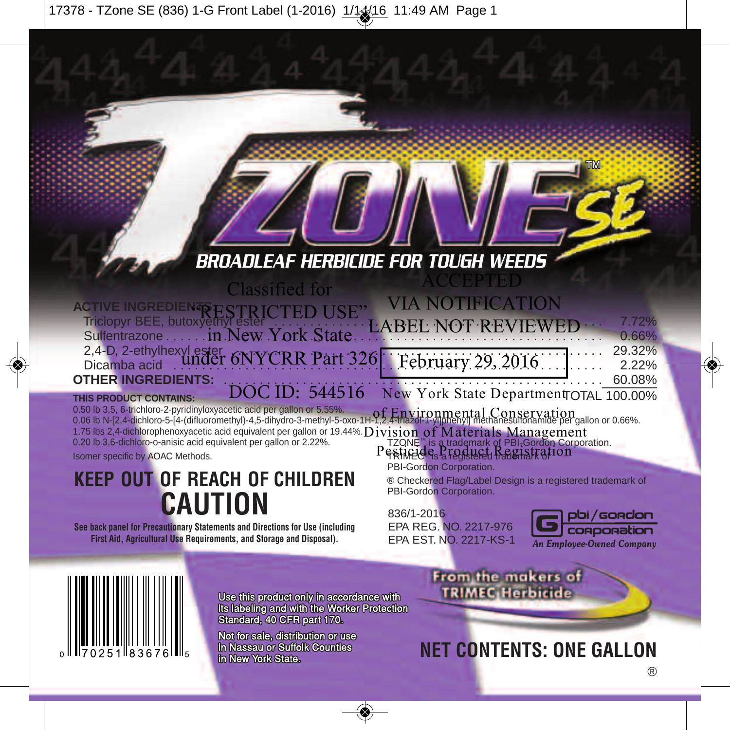## BROADLEAF HERBICIDE FOR TOUGH WEEDS

| <b>Classified for</b>                                                                                             | ACCEPTED                                               |                |
|-------------------------------------------------------------------------------------------------------------------|--------------------------------------------------------|----------------|
|                                                                                                                   | <b>VIA NOTIFICATION</b>                                |                |
| ACTIVE INGREDIENTS ESTRICTED USE VIA NUTIFICATION<br>Triclopyr BEE, butoxyethyr ester CTED USE LABEL NOT REVIEWED |                                                        | 7.72%<br>0.66% |
|                                                                                                                   |                                                        |                |
|                                                                                                                   |                                                        |                |
|                                                                                                                   | <del>.</del> 60.08%                                    |                |
| THIS PRODUCT CONTAINS:                                                                                            | DOC ID: 544516 New York State Department TOTAL 100.00% |                |

0.50 lb 3,5, 6-trichloro-2-pyridinyloxyacetic acid per gallon or 5.55%. 0.50 lb 3,5, 6-trichloro-2-pyridinyloxyacetic acid per gallon or 5.55%.<br>0.06 lb N-[2,4-dichloro-5-[4-(difluoromethyl)-4.5-dihydro-3-methyl-5-oxo-1H-1,2,4-triazol-1-yllohenyl] methanesulfonamide per gallon or 0.66%. 1.75 lbs 2,4-dichlorophenoxyacetic acid equivalent per gallon or 19.44%. Division of Materials Management 0.20 lb 3,6-dichloro-o-anisic acid equivalent per gallon or 2.22%. TZONE™ is a trademark of PBI-Gordon Corporation.

Isomer specific by AOAC Methods.

**KEEP OUT OF REACH OF CHILDREN CAUTION**

**See back panel for Precautionary Statements and Directions for Use (including First Aid, Agricultural Use Requirements, and Storage and Disposal).**

Pesticide Product Registration PBI-Gordon Corporation.

® Checkered Flag/Label Design is a registered trademark of PBI-Gordon Corporation.

836/1-2016 EPA REG. NO. 2217-976 EPA EST. NO. 2217-KS-1





Use this product only in accordance with its labeling and with the Worker Protection Standard, 40 CFR part 170.

Not for sale, distribution or use in Nassau or Suffolk Counties in New York State.

From the makers of **TRIMEC Herbicide** 

**NET CONTENTS: ONE GALLON**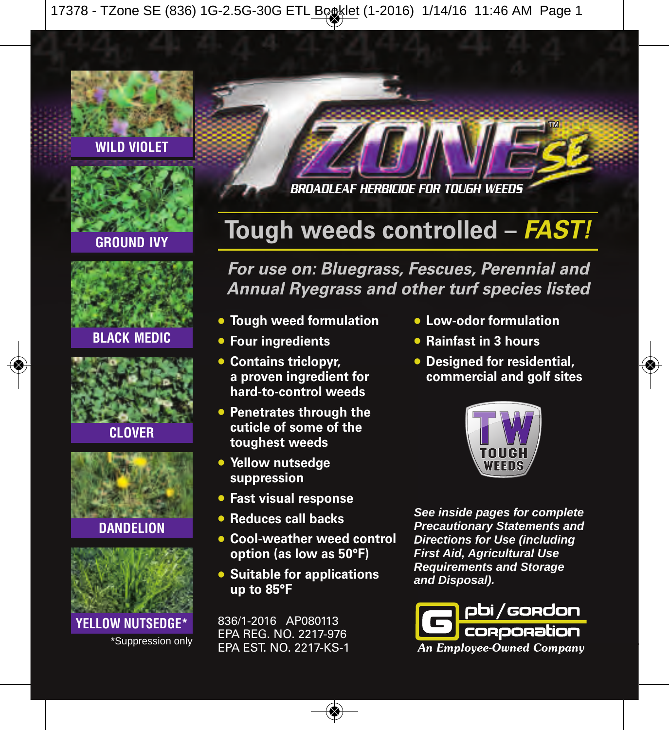### **WILD VIOLET**



### **GROUND IVY**





**CLOVER**







BROADLEAF HERBICIDE FOR TOUGH WEEDS

# **Tough weeds controlled –** *FAST!*

*For use on: Bluegrass, Fescues, Perennial and Annual Ryegrass and other turf species listed*

- **• Tough weed formulation**
- **• Four ingredients**
- **• Contains triclopyr, a proven ingredient for hard-to-control weeds**
- **• Penetrates through the cuticle of some of the toughest weeds**
- **• Yellow nutsedge suppression**
- **• Fast visual response**
- **• Reduces call backs**
- **• Cool-weather weed control option (as low as 50°F)**
- **• Suitable for applications up to 85°F**

836/1-2016 AP080113 EPA REG. NO. 2217-976 EPA EST. NO. 2217-KS-1

- **• Low-odor formulation**
- **• Rainfast in 3 hours**
- **• Designed for residential, commercial and golf sites**



*See inside pages for complete Precautionary Statements and Directions for Use (including First Aid, Agricultural Use Requirements and Storage and Disposal).*

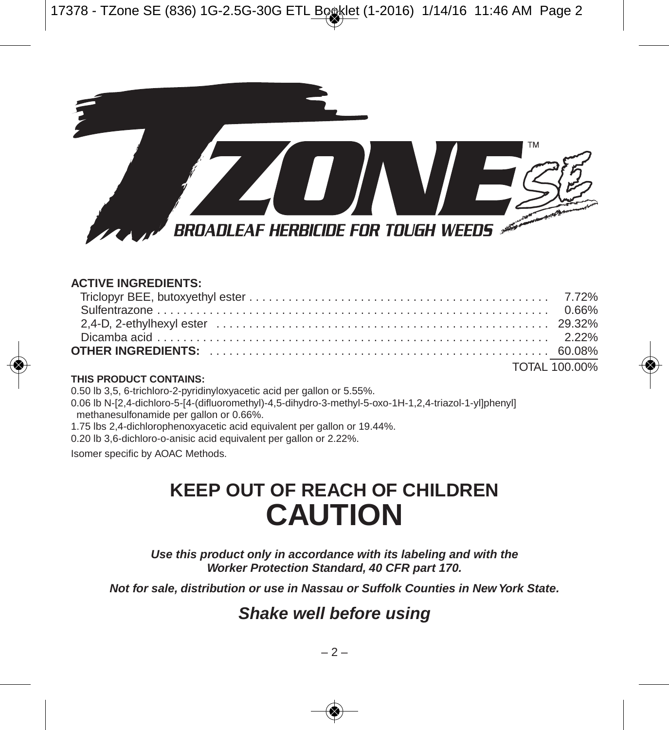

#### **ACTIVE INGREDIENTS:**

| <b>TOTAL 100.00%</b> |
|----------------------|

#### **THIS PRODUCT CONTAINS:**

0.50 lb 3,5, 6-trichloro-2-pyridinyloxyacetic acid per gallon or 5.55%.

0.06 lb N-[2,4-dichloro-5-[4-(difluoromethyl)-4,5-dihydro-3-methyl-5-oxo-1H-1,2,4-triazol-1-yl]phenyl] methanesulfonamide per gallon or 0.66%.

1.75 lbs 2,4-dichlorophenoxyacetic acid equivalent per gallon or 19.44%.

0.20 lb 3,6-dichloro-o-anisic acid equivalent per gallon or 2.22%.

Isomer specific by AOAC Methods.

# **KEEP OUT OF REACH OF CHILDREN CAUTION**

*Use this product only in accordance with its labeling and with the Worker Protection Standard, 40 CFR part 170.*

*Not for sale, distribution or use in Nassau or Suffolk Counties in New York State.*

## *Shake well before using*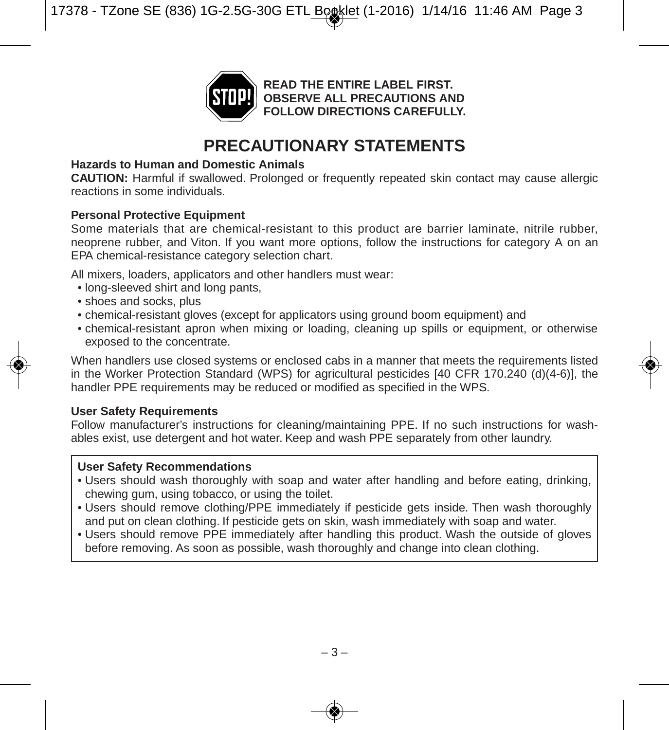

## **PRECAUTIONARY STATEMENTS**

#### **Hazards to Human and Domestic Animals**

**CAUTION:** Harmful if swallowed. Prolonged or frequently repeated skin contact may cause allergic reactions in some individuals.

#### **Personal Protective Equipment**

Some materials that are chemical-resistant to this product are barrier laminate, nitrile rubber, neoprene rubber, and Viton. If you want more options, follow the instructions for category A on an EPA chemical-resistance category selection chart.

All mixers, loaders, applicators and other handlers must wear:

- long-sleeved shirt and long pants,
- shoes and socks, plus
- chemical-resistant gloves (except for applicators using ground boom equipment) and
- chemical-resistant apron when mixing or loading, cleaning up spills or equipment, or otherwise exposed to the concentrate.

When handlers use closed systems or enclosed cabs in a manner that meets the requirements listed in the Worker Protection Standard (WPS) for agricultural pesticides [40 CFR 170.240 (d)(4-6)], the handler PPE requirements may be reduced or modified as specified in the WPS.

#### **User Safety Requirements**

Follow manufacturer's instructions for cleaning/maintaining PPE. If no such instructions for washables exist, use detergent and hot water. Keep and wash PPE separately from other laundry.

#### **User Safety Recommendations**

- Users should wash thoroughly with soap and water after handling and before eating, drinking, chewing gum, using tobacco, or using the toilet.
- Users should remove clothing/PPE immediately if pesticide gets inside. Then wash thoroughly and put on clean clothing. If pesticide gets on skin, wash immediately with soap and water.
- Users should remove PPE immediately after handling this product. Wash the outside of gloves before removing. As soon as possible, wash thoroughly and change into clean clothing.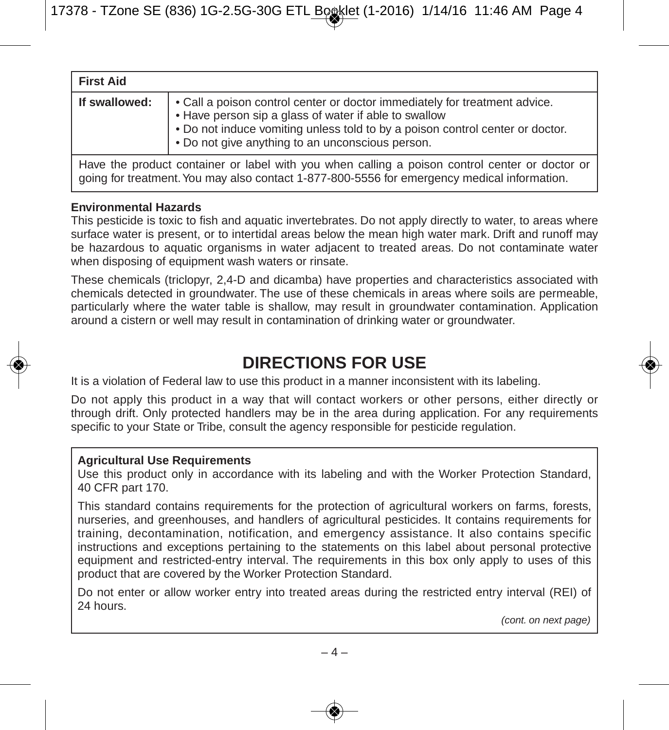| <b>First Aid</b>                                                                                                                                                                              |                                                                                                                                                                                                                                                                          |
|-----------------------------------------------------------------------------------------------------------------------------------------------------------------------------------------------|--------------------------------------------------------------------------------------------------------------------------------------------------------------------------------------------------------------------------------------------------------------------------|
| If swallowed:                                                                                                                                                                                 | • Call a poison control center or doctor immediately for treatment advice.<br>• Have person sip a glass of water if able to swallow<br>. Do not induce vomiting unless told to by a poison control center or doctor.<br>. Do not give anything to an unconscious person. |
| Have the product container or label with you when calling a poison control center or doctor or<br>aoing for treatment. You may also contact 1-877-800-5556 for emergency medical information. |                                                                                                                                                                                                                                                                          |

#### **Environmental Hazards**

This pesticide is toxic to fish and aquatic invertebrates. Do not apply directly to water, to areas where surface water is present, or to intertidal areas below the mean high water mark. Drift and runoff may be hazardous to aquatic organisms in water adjacent to treated areas. Do not contaminate water when disposing of equipment wash waters or rinsate.

These chemicals (triclopyr, 2,4-D and dicamba) have properties and characteristics associated with chemicals detected in groundwater. The use of these chemicals in areas where soils are permeable, particularly where the water table is shallow, may result in groundwater contamination. Application around a cistern or well may result in contamination of drinking water or groundwater.

## **DIRECTIONS FOR USE**

It is a violation of Federal law to use this product in a manner inconsistent with its labeling.

Do not apply this product in a way that will contact workers or other persons, either directly or through drift. Only protected handlers may be in the area during application. For any requirements specific to your State or Tribe, consult the agency responsible for pesticide regulation.

#### **Agricultural Use Requirements**

Use this product only in accordance with its labeling and with the Worker Protection Standard, 40 CFR part 170.

This standard contains requirements for the protection of agricultural workers on farms, forests, nurseries, and greenhouses, and handlers of agricultural pesticides. It contains requirements for training, decontamination, notification, and emergency assistance. It also contains specific instructions and exceptions pertaining to the statements on this label about personal protective equipment and restricted-entry interval. The requirements in this box only apply to uses of this product that are covered by the Worker Protection Standard.

Do not enter or allow worker entry into treated areas during the restricted entry interval (REI) of 24 hours.

*(cont. on next page)*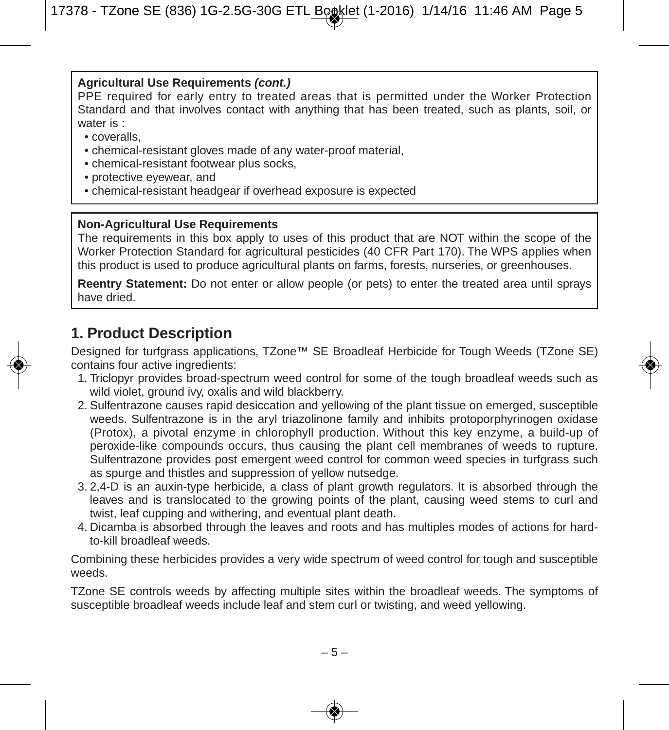#### **Agricultural Use Requirements** *(cont.)*

PPE required for early entry to treated areas that is permitted under the Worker Protection Standard and that involves contact with anything that has been treated, such as plants, soil, or water is :

- coveralls,
- chemical-resistant gloves made of any water-proof material,
- chemical-resistant footwear plus socks,
- protective eyewear, and
- chemical-resistant headgear if overhead exposure is expected

#### **Non-Agricultural Use Requirements**

The requirements in this box apply to uses of this product that are NOT within the scope of the Worker Protection Standard for agricultural pesticides (40 CFR Part 170). The WPS applies when this product is used to produce agricultural plants on farms, forests, nurseries, or greenhouses.

**Reentry Statement:** Do not enter or allow people (or pets) to enter the treated area until sprays have dried.

## **1. Product Description**

Designed for turfgrass applications, TZone™ SE Broadleaf Herbicide for Tough Weeds (TZone SE) contains four active ingredients:

- 1. Triclopyr provides broad-spectrum weed control for some of the tough broadleaf weeds such as wild violet, ground ivy, oxalis and wild blackberry.
- 2. Sulfentrazone causes rapid desiccation and yellowing of the plant tissue on emerged, susceptible weeds. Sulfentrazone is in the aryl triazolinone family and inhibits protoporphyrinogen oxidase (Protox), a pivotal enzyme in chlorophyll production. Without this key enzyme, a build-up of peroxide-like compounds occurs, thus causing the plant cell membranes of weeds to rupture. Sulfentrazone provides post emergent weed control for common weed species in turfgrass such as spurge and thistles and suppression of yellow nutsedge.
- 3. 2,4-D is an auxin-type herbicide, a class of plant growth regulators. It is absorbed through the leaves and is translocated to the growing points of the plant, causing weed stems to curl and twist, leaf cupping and withering, and eventual plant death.
- 4. Dicamba is absorbed through the leaves and roots and has multiples modes of actions for hardto-kill broadleaf weeds.

Combining these herbicides provides a very wide spectrum of weed control for tough and susceptible weeds.

TZone SE controls weeds by affecting multiple sites within the broadleaf weeds. The symptoms of susceptible broadleaf weeds include leaf and stem curl or twisting, and weed yellowing.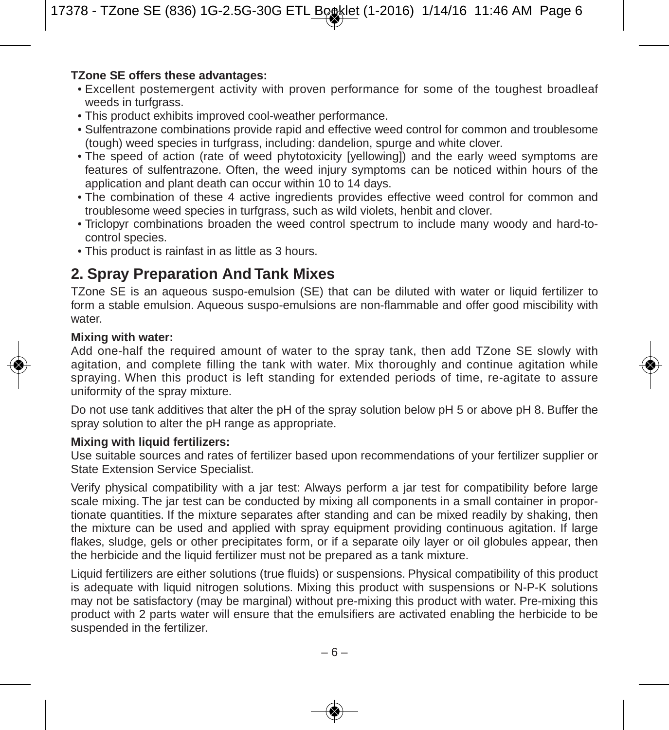#### **TZone SE offers these advantages:**

- Excellent postemergent activity with proven performance for some of the toughest broadleaf weeds in turfgrass.
- This product exhibits improved cool-weather performance.
- Sulfentrazone combinations provide rapid and effective weed control for common and troublesome (tough) weed species in turfgrass, including: dandelion, spurge and white clover.
- The speed of action (rate of weed phytotoxicity [yellowing]) and the early weed symptoms are features of sulfentrazone. Often, the weed injury symptoms can be noticed within hours of the application and plant death can occur within 10 to 14 days.
- The combination of these 4 active ingredients provides effective weed control for common and troublesome weed species in turfgrass, such as wild violets, henbit and clover.
- Triclopyr combinations broaden the weed control spectrum to include many woody and hard-tocontrol species.
- This product is rainfast in as little as 3 hours.

## **2. Spray Preparation And Tank Mixes**

TZone SE is an aqueous suspo-emulsion (SE) that can be diluted with water or liquid fertilizer to form a stable emulsion. Aqueous suspo-emulsions are non-flammable and offer good miscibility with water.

#### **Mixing with water:**

Add one-half the required amount of water to the spray tank, then add TZone SE slowly with agitation, and complete filling the tank with water. Mix thoroughly and continue agitation while spraying. When this product is left standing for extended periods of time, re-agitate to assure uniformity of the spray mixture.

Do not use tank additives that alter the pH of the spray solution below pH 5 or above pH 8. Buffer the spray solution to alter the pH range as appropriate.

#### **Mixing with liquid fertilizers:**

Use suitable sources and rates of fertilizer based upon recommendations of your fertilizer supplier or State Extension Service Specialist.

Verify physical compatibility with a jar test: Always perform a jar test for compatibility before large scale mixing. The jar test can be conducted by mixing all components in a small container in proportionate quantities. If the mixture separates after standing and can be mixed readily by shaking, then the mixture can be used and applied with spray equipment providing continuous agitation. If large flakes, sludge, gels or other precipitates form, or if a separate oily layer or oil globules appear, then the herbicide and the liquid fertilizer must not be prepared as a tank mixture.

Liquid fertilizers are either solutions (true fluids) or suspensions. Physical compatibility of this product is adequate with liquid nitrogen solutions. Mixing this product with suspensions or N-P-K solutions may not be satisfactory (may be marginal) without pre-mixing this product with water. Pre-mixing this product with 2 parts water will ensure that the emulsifiers are activated enabling the herbicide to be suspended in the fertilizer.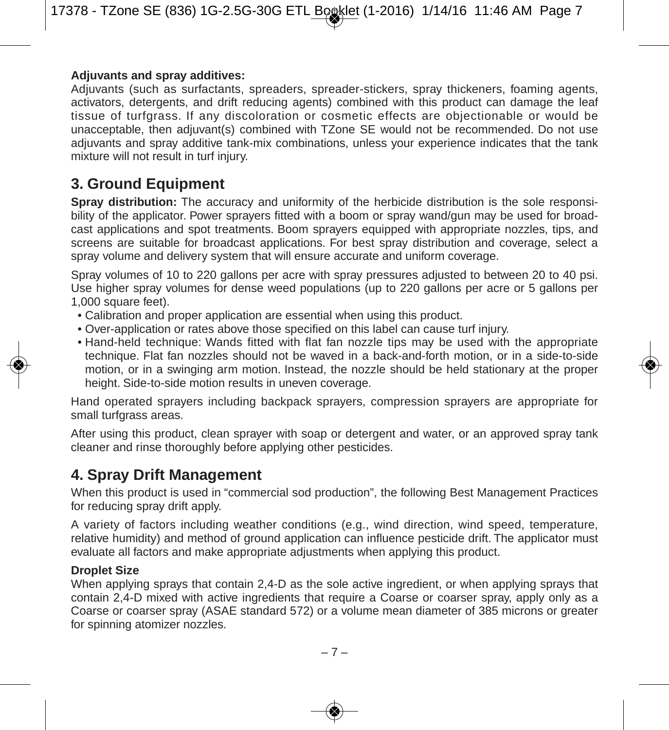#### **Adjuvants and spray additives:**

Adjuvants (such as surfactants, spreaders, spreader-stickers, spray thickeners, foaming agents, activators, detergents, and drift reducing agents) combined with this product can damage the leaf tissue of turfgrass. If any discoloration or cosmetic effects are objectionable or would be unacceptable, then adjuvant(s) combined with TZone SE would not be recommended. Do not use adjuvants and spray additive tank-mix combinations, unless your experience indicates that the tank mixture will not result in turf injury.

### **3. Ground Equipment**

**Spray distribution:** The accuracy and uniformity of the herbicide distribution is the sole responsibility of the applicator. Power sprayers fitted with a boom or spray wand/gun may be used for broadcast applications and spot treatments. Boom sprayers equipped with appropriate nozzles, tips, and screens are suitable for broadcast applications. For best spray distribution and coverage, select a spray volume and delivery system that will ensure accurate and uniform coverage.

Spray volumes of 10 to 220 gallons per acre with spray pressures adjusted to between 20 to 40 psi. Use higher spray volumes for dense weed populations (up to 220 gallons per acre or 5 gallons per 1,000 square feet).

- Calibration and proper application are essential when using this product.
- Over-application or rates above those specified on this label can cause turf injury.
- Hand-held technique: Wands fitted with flat fan nozzle tips may be used with the appropriate technique. Flat fan nozzles should not be waved in a back-and-forth motion, or in a side-to-side motion, or in a swinging arm motion. Instead, the nozzle should be held stationary at the proper height. Side-to-side motion results in uneven coverage.

Hand operated sprayers including backpack sprayers, compression sprayers are appropriate for small turfgrass areas.

After using this product, clean sprayer with soap or detergent and water, or an approved spray tank cleaner and rinse thoroughly before applying other pesticides.

## **4. Spray Drift Management**

When this product is used in "commercial sod production", the following Best Management Practices for reducing spray drift apply.

A variety of factors including weather conditions (e.g., wind direction, wind speed, temperature, relative humidity) and method of ground application can influence pesticide drift. The applicator must evaluate all factors and make appropriate adjustments when applying this product.

#### **Droplet Size**

When applying sprays that contain 2.4-D as the sole active ingredient, or when applying sprays that contain 2,4-D mixed with active ingredients that require a Coarse or coarser spray, apply only as a Coarse or coarser spray (ASAE standard 572) or a volume mean diameter of 385 microns or greater for spinning atomizer nozzles.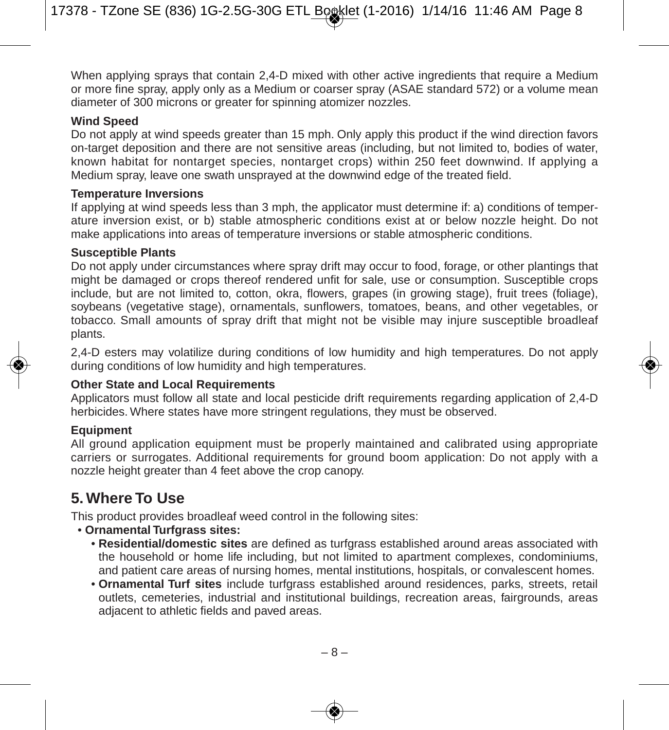When applying sprays that contain 2,4-D mixed with other active ingredients that require a Medium or more fine spray, apply only as a Medium or coarser spray (ASAE standard 572) or a volume mean diameter of 300 microns or greater for spinning atomizer nozzles.

#### **Wind Speed**

Do not apply at wind speeds greater than 15 mph. Only apply this product if the wind direction favors on-target deposition and there are not sensitive areas (including, but not limited to, bodies of water, known habitat for nontarget species, nontarget crops) within 250 feet downwind. If applying a Medium spray, leave one swath unsprayed at the downwind edge of the treated field.

#### **Temperature Inversions**

If applying at wind speeds less than 3 mph, the applicator must determine if: a) conditions of temperature inversion exist, or b) stable atmospheric conditions exist at or below nozzle height. Do not make applications into areas of temperature inversions or stable atmospheric conditions.

#### **Susceptible Plants**

Do not apply under circumstances where spray drift may occur to food, forage, or other plantings that might be damaged or crops thereof rendered unfit for sale, use or consumption. Susceptible crops include, but are not limited to, cotton, okra, flowers, grapes (in growing stage), fruit trees (foliage), soybeans (vegetative stage), ornamentals, sunflowers, tomatoes, beans, and other vegetables, or tobacco. Small amounts of spray drift that might not be visible may injure susceptible broadleaf plants.

2,4-D esters may volatilize during conditions of low humidity and high temperatures. Do not apply during conditions of low humidity and high temperatures.

#### **Other State and Local Requirements**

Applicators must follow all state and local pesticide drift requirements regarding application of 2,4-D herbicides. Where states have more stringent regulations, they must be observed.

#### **Equipment**

All ground application equipment must be properly maintained and calibrated using appropriate carriers or surrogates. Additional requirements for ground boom application: Do not apply with a nozzle height greater than 4 feet above the crop canopy.

### **5. Where To Use**

This product provides broadleaf weed control in the following sites:

- **Ornamental Turfgrass sites:**
	- **Residential/domestic sites** are defined as turfgrass established around areas associated with the household or home life including, but not limited to apartment complexes, condominiums, and patient care areas of nursing homes, mental institutions, hospitals, or convalescent homes.
	- **Ornamental Turf sites** include turfgrass established around residences, parks, streets, retail outlets, cemeteries, industrial and institutional buildings, recreation areas, fairgrounds, areas adjacent to athletic fields and paved areas.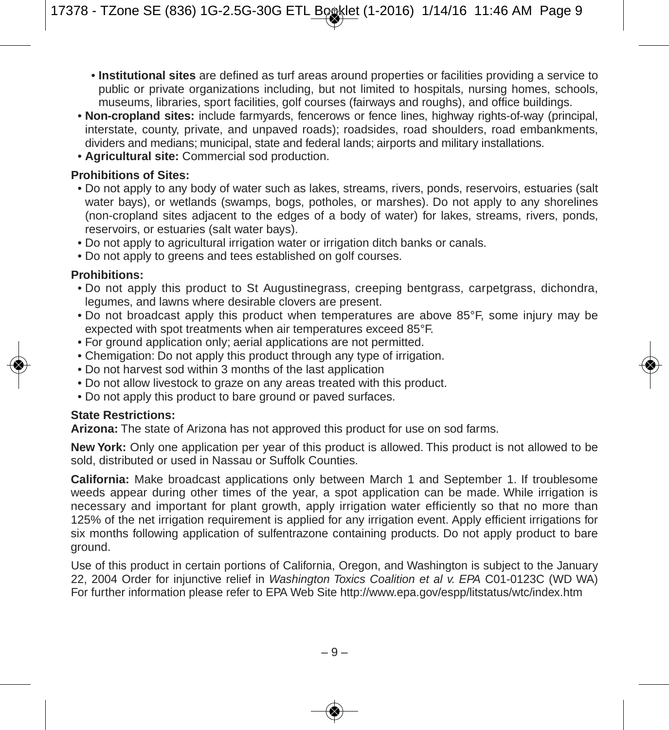- **Institutional sites** are defined as turf areas around properties or facilities providing a service to public or private organizations including, but not limited to hospitals, nursing homes, schools, museums, libraries, sport facilities, golf courses (fairways and roughs), and office buildings.
- **Non-cropland sites:** include farmyards, fencerows or fence lines, highway rights-of-way (principal, interstate, county, private, and unpaved roads); roadsides, road shoulders, road embankments, dividers and medians; municipal, state and federal lands; airports and military installations.
- **Agricultural site:** Commercial sod production.

#### **Prohibitions of Sites:**

- Do not apply to any body of water such as lakes, streams, rivers, ponds, reservoirs, estuaries (salt water bays), or wetlands (swamps, bogs, potholes, or marshes). Do not apply to any shorelines (non-cropland sites adjacent to the edges of a body of water) for lakes, streams, rivers, ponds, reservoirs, or estuaries (salt water bays).
- Do not apply to agricultural irrigation water or irrigation ditch banks or canals.
- Do not apply to greens and tees established on golf courses.

#### **Prohibitions:**

- Do not apply this product to St Augustinegrass, creeping bentgrass, carpetgrass, dichondra, legumes, and lawns where desirable clovers are present.
- Do not broadcast apply this product when temperatures are above 85°F, some injury may be expected with spot treatments when air temperatures exceed 85°F.
- For ground application only; aerial applications are not permitted.
- Chemigation: Do not apply this product through any type of irrigation.
- Do not harvest sod within 3 months of the last application
- Do not allow livestock to graze on any areas treated with this product.
- Do not apply this product to bare ground or paved surfaces.

#### **State Restrictions:**

**Arizona:** The state of Arizona has not approved this product for use on sod farms.

**New York:** Only one application per year of this product is allowed. This product is not allowed to be sold, distributed or used in Nassau or Suffolk Counties.

**California:** Make broadcast applications only between March 1 and September 1. If troublesome weeds appear during other times of the year, a spot application can be made. While irrigation is necessary and important for plant growth, apply irrigation water efficiently so that no more than 125% of the net irrigation requirement is applied for any irrigation event. Apply efficient irrigations for six months following application of sulfentrazone containing products. Do not apply product to bare ground.

Use of this product in certain portions of California, Oregon, and Washington is subject to the January 22, 2004 Order for injunctive relief in *Washington Toxics Coalition et al v. EPA* C01-0123C (WD WA) For further information please refer to EPA Web Site http://www.epa.gov/espp/litstatus/wtc/index.htm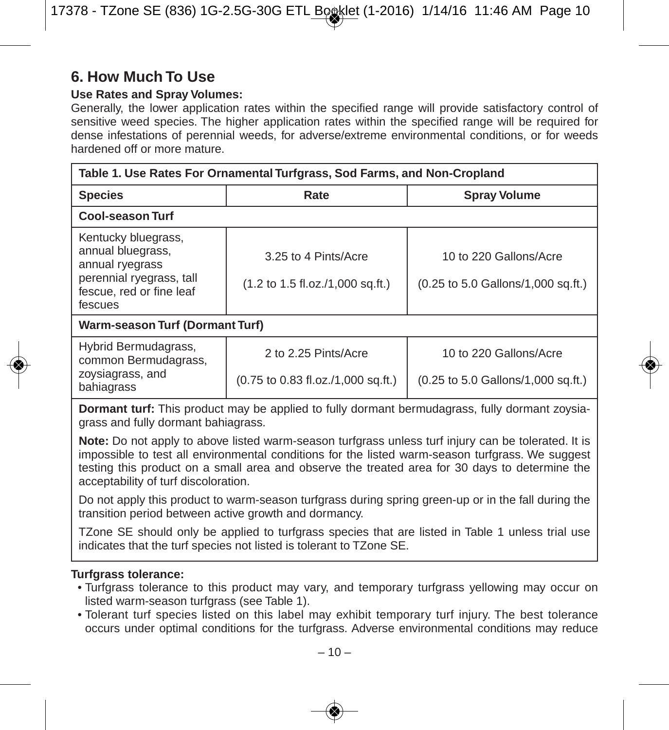### **6. How Much To Use**

#### **Use Rates and Spray Volumes:**

Generally, the lower application rates within the specified range will provide satisfactory control of sensitive weed species. The higher application rates within the specified range will be required for dense infestations of perennial weeds, for adverse/extreme environmental conditions, or for weeds hardened off or more mature.

| Table 1. Use Rates For Ornamental Turfgrass, Sod Farms, and Non-Cropland                                                       |                                                                                     |                                                              |  |
|--------------------------------------------------------------------------------------------------------------------------------|-------------------------------------------------------------------------------------|--------------------------------------------------------------|--|
| <b>Species</b>                                                                                                                 | Rate                                                                                | <b>Spray Volume</b>                                          |  |
| <b>Cool-season Turf</b>                                                                                                        |                                                                                     |                                                              |  |
| Kentucky bluegrass,<br>annual bluegrass,<br>annual ryegrass<br>perennial ryegrass, tall<br>fescue, red or fine leaf<br>fescues | 3.25 to 4 Pints/Acre<br>$(1.2 \text{ to } 1.5 \text{ fl.oz}/1,000 \text{ sq.fit.})$ | 10 to 220 Gallons/Acre<br>(0.25 to 5.0 Gallons/1,000 sq.ft.) |  |
| Warm-season Turf (Dormant Turf)                                                                                                |                                                                                     |                                                              |  |
| Hybrid Bermudagrass,<br>common Bermudagrass,<br>zoysiagrass, and<br>bahiagrass                                                 | 2 to 2.25 Pints/Acre<br>(0.75 to 0.83 fl.oz./1,000 sq.ft.)                          | 10 to 220 Gallons/Acre<br>(0.25 to 5.0 Gallons/1,000 sq.ft.) |  |

**Dormant turf:** This product may be applied to fully dormant bermudagrass, fully dormant zoysiagrass and fully dormant bahiagrass.

**Note:** Do not apply to above listed warm-season turfgrass unless turf injury can be tolerated. It is impossible to test all environmental conditions for the listed warm-season turfgrass. We suggest testing this product on a small area and observe the treated area for 30 days to determine the acceptability of turf discoloration.

Do not apply this product to warm-season turfgrass during spring green-up or in the fall during the transition period between active growth and dormancy.

TZone SE should only be applied to turfgrass species that are listed in Table 1 unless trial use indicates that the turf species not listed is tolerant to TZone SE.

#### **Turfgrass tolerance:**

- Turfgrass tolerance to this product may vary, and temporary turfgrass yellowing may occur on listed warm-season turfgrass (see Table 1).
- Tolerant turf species listed on this label may exhibit temporary turf injury. The best tolerance occurs under optimal conditions for the turfgrass. Adverse environmental conditions may reduce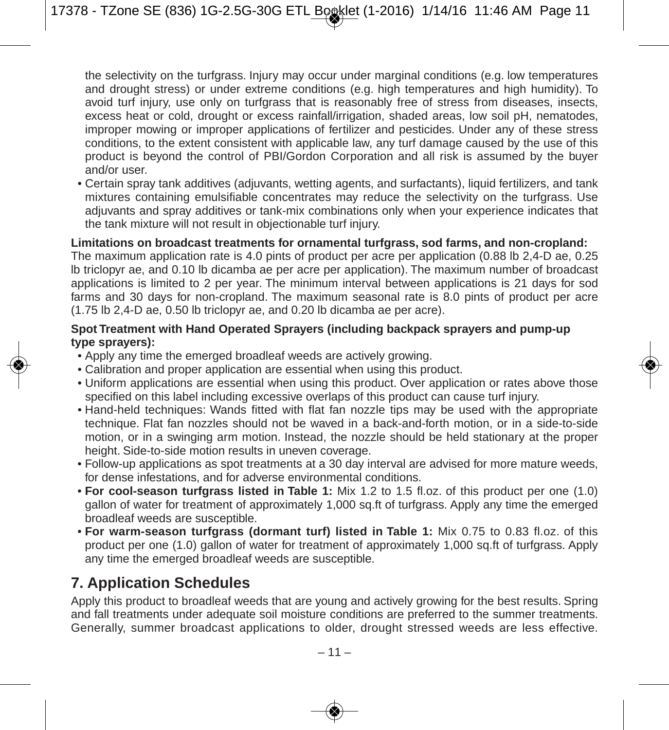the selectivity on the turfgrass. Injury may occur under marginal conditions (e.g. low temperatures and drought stress) or under extreme conditions (e.g. high temperatures and high humidity). To avoid turf injury, use only on turfgrass that is reasonably free of stress from diseases, insects, excess heat or cold, drought or excess rainfall/irrigation, shaded areas, low soil pH, nematodes, improper mowing or improper applications of fertilizer and pesticides. Under any of these stress conditions, to the extent consistent with applicable law, any turf damage caused by the use of this product is beyond the control of PBI/Gordon Corporation and all risk is assumed by the buyer and/or user.

• Certain spray tank additives (adjuvants, wetting agents, and surfactants), liquid fertilizers, and tank mixtures containing emulsifiable concentrates may reduce the selectivity on the turfgrass. Use adjuvants and spray additives or tank-mix combinations only when your experience indicates that the tank mixture will not result in objectionable turf injury.

**Limitations on broadcast treatments for ornamental turfgrass, sod farms, and non-cropland:** The maximum application rate is 4.0 pints of product per acre per application (0.88 lb 2,4-D ae, 0.25 lb triclopyr ae, and 0.10 lb dicamba ae per acre per application). The maximum number of broadcast applications is limited to 2 per year. The minimum interval between applications is 21 days for sod farms and 30 days for non-cropland. The maximum seasonal rate is 8.0 pints of product per acre (1.75 lb 2,4-D ae, 0.50 lb triclopyr ae, and 0.20 lb dicamba ae per acre).

#### **Spot Treatment with Hand Operated Sprayers (including backpack sprayers and pump-up type sprayers):**

- Apply any time the emerged broadleaf weeds are actively growing.
- Calibration and proper application are essential when using this product.
- Uniform applications are essential when using this product. Over application or rates above those specified on this label including excessive overlaps of this product can cause turf injury.
- Hand-held techniques: Wands fitted with flat fan nozzle tips may be used with the appropriate technique. Flat fan nozzles should not be waved in a back-and-forth motion, or in a side-to-side motion, or in a swinging arm motion. Instead, the nozzle should be held stationary at the proper height. Side-to-side motion results in uneven coverage.
- Follow-up applications as spot treatments at a 30 day interval are advised for more mature weeds, for dense infestations, and for adverse environmental conditions.
- **For cool-season turfgrass listed in Table 1:** Mix 1.2 to 1.5 fl.oz. of this product per one (1.0) gallon of water for treatment of approximately 1,000 sq.ft of turfgrass. Apply any time the emerged broadleaf weeds are susceptible.
- **For warm-season turfgrass (dormant turf) listed in Table 1:** Mix 0.75 to 0.83 fl.oz. of this product per one (1.0) gallon of water for treatment of approximately 1,000 sq.ft of turfgrass. Apply any time the emerged broadleaf weeds are susceptible.

## **7. Application Schedules**

Apply this product to broadleaf weeds that are young and actively growing for the best results. Spring and fall treatments under adequate soil moisture conditions are preferred to the summer treatments. Generally, summer broadcast applications to older, drought stressed weeds are less effective.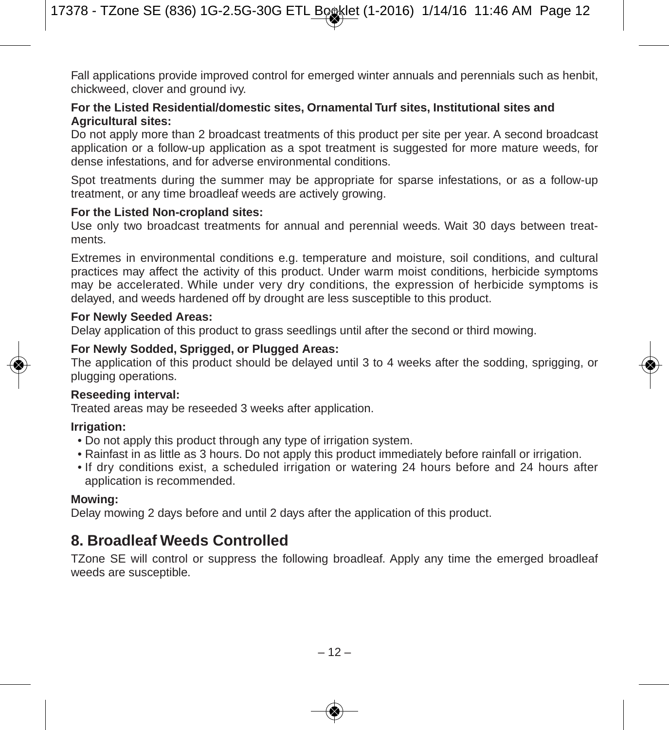Fall applications provide improved control for emerged winter annuals and perennials such as henbit, chickweed, clover and ground ivy.

#### **For the Listed Residential/domestic sites, Ornamental Turf sites, Institutional sites and Agricultural sites:**

Do not apply more than 2 broadcast treatments of this product per site per year. A second broadcast application or a follow-up application as a spot treatment is suggested for more mature weeds, for dense infestations, and for adverse environmental conditions.

Spot treatments during the summer may be appropriate for sparse infestations, or as a follow-up treatment, or any time broadleaf weeds are actively growing.

#### **For the Listed Non-cropland sites:**

Use only two broadcast treatments for annual and perennial weeds. Wait 30 days between treatments.

Extremes in environmental conditions e.g. temperature and moisture, soil conditions, and cultural practices may affect the activity of this product. Under warm moist conditions, herbicide symptoms may be accelerated. While under very dry conditions, the expression of herbicide symptoms is delayed, and weeds hardened off by drought are less susceptible to this product.

#### **For Newly Seeded Areas:**

Delay application of this product to grass seedlings until after the second or third mowing.

#### **For Newly Sodded, Sprigged, or Plugged Areas:**

The application of this product should be delayed until 3 to 4 weeks after the sodding, sprigging, or plugging operations.

#### **Reseeding interval:**

Treated areas may be reseeded 3 weeks after application.

#### **Irrigation:**

- Do not apply this product through any type of irrigation system.
- Rainfast in as little as 3 hours. Do not apply this product immediately before rainfall or irrigation.
- If dry conditions exist, a scheduled irrigation or watering 24 hours before and 24 hours after application is recommended.

#### **Mowing:**

Delay mowing 2 days before and until 2 days after the application of this product.

### **8. Broadleaf Weeds Controlled**

TZone SE will control or suppress the following broadleaf. Apply any time the emerged broadleaf weeds are susceptible.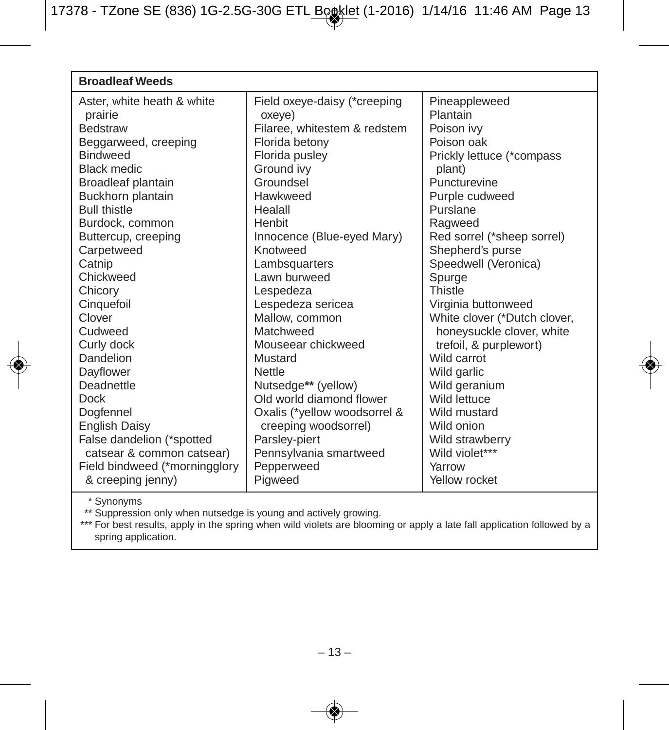| <b>Broadleaf Weeds</b>        |                                        |                              |  |
|-------------------------------|----------------------------------------|------------------------------|--|
| Aster, white heath & white    | Field oxeye-daisy (*creeping           | Pineappleweed<br>Plantain    |  |
| prairie<br><b>Bedstraw</b>    | oxeye)<br>Filaree, whitestem & redstem | Poison ivy                   |  |
| Beggarweed, creeping          | Florida betony                         | Poison oak                   |  |
| <b>Bindweed</b>               | Florida pusley                         | Prickly lettuce (*compass    |  |
| <b>Black medic</b>            | Ground ivy                             | plant)                       |  |
| Broadleaf plantain            | Groundsel                              | Puncturevine                 |  |
| Buckhorn plantain             | Hawkweed                               | Purple cudweed               |  |
| <b>Bull thistle</b>           | Healall                                | Purslane                     |  |
| Burdock, common               | Henbit                                 | Ragweed                      |  |
| Buttercup, creeping           | Innocence (Blue-eyed Mary)             | Red sorrel (*sheep sorrel)   |  |
| Carpetweed                    | Knotweed                               | Shepherd's purse             |  |
| Catnip                        | Lambsquarters                          | Speedwell (Veronica)         |  |
| Chickweed                     | Lawn burweed                           | Spurge                       |  |
| Chicory                       | Lespedeza                              | <b>Thistle</b>               |  |
| Cinquefoil                    | Lespedeza sericea                      | Virginia buttonweed          |  |
| Clover                        | Mallow. common                         | White clover (*Dutch clover, |  |
| Cudweed                       | Matchweed                              | honeysuckle clover, white    |  |
| Curly dock                    | Mouseear chickweed                     | trefoil, & purplewort)       |  |
| Dandelion                     | Mustard                                | Wild carrot                  |  |
| Dayflower                     | Nettle                                 | Wild garlic                  |  |
| Deadnettle                    | Nutsedge** (yellow)                    | Wild geranium                |  |
| <b>Dock</b>                   | Old world diamond flower               | Wild lettuce                 |  |
| Dogfennel                     | Oxalis (*yellow woodsorrel &           | Wild mustard                 |  |
| <b>English Daisy</b>          | creeping woodsorrel)                   | Wild onion                   |  |
| False dandelion (*spotted     | Parsley-piert                          | Wild strawberry              |  |
| catsear & common catsear)     | Pennsylvania smartweed                 | Wild violet***               |  |
| Field bindweed (*morningglory | Pepperweed                             | Yarrow                       |  |
| & creeping jenny)             | Pigweed                                | Yellow rocket                |  |
|                               |                                        |                              |  |

\* Synonyms \*\* Suppression only when nutsedge is young and actively growing. \*\*\* For best results, apply in the spring when wild violets are blooming or apply a late fall application followed by a spring application.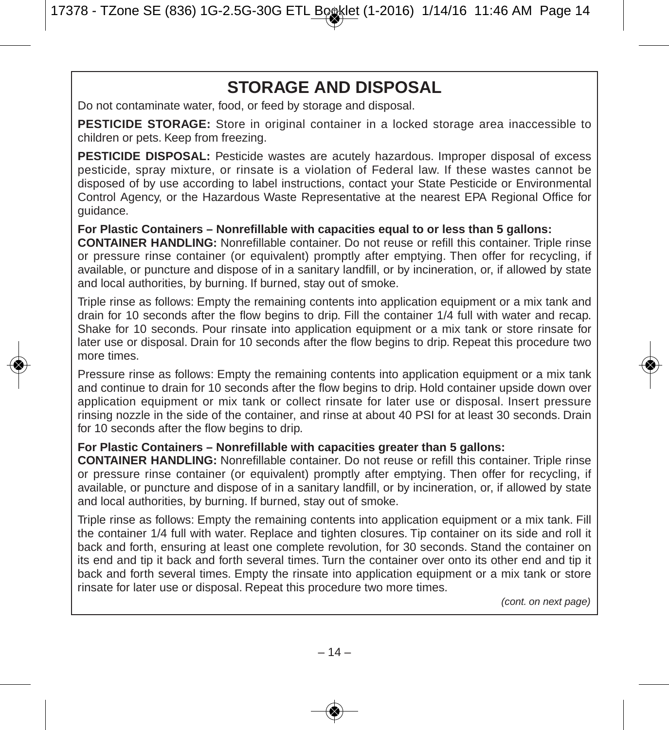## **STORAGE AND DISPOSAL**

Do not contaminate water, food, or feed by storage and disposal.

**PESTICIDE STORAGE:** Store in original container in a locked storage area inaccessible to children or pets. Keep from freezing.

**PESTICIDE DISPOSAL:** Pesticide wastes are acutely hazardous. Improper disposal of excess pesticide, spray mixture, or rinsate is a violation of Federal law. If these wastes cannot be disposed of by use according to label instructions, contact your State Pesticide or Environmental Control Agency, or the Hazardous Waste Representative at the nearest EPA Regional Office for guidance.

**For Plastic Containers – Nonrefillable with capacities equal to or less than 5 gallons:**

**CONTAINER HANDLING:** Nonrefillable container. Do not reuse or refill this container. Triple rinse or pressure rinse container (or equivalent) promptly after emptying. Then offer for recycling, if available, or puncture and dispose of in a sanitary landfill, or by incineration, or, if allowed by state and local authorities, by burning. If burned, stay out of smoke.

Triple rinse as follows: Empty the remaining contents into application equipment or a mix tank and drain for 10 seconds after the flow begins to drip. Fill the container 1/4 full with water and recap. Shake for 10 seconds. Pour rinsate into application equipment or a mix tank or store rinsate for later use or disposal. Drain for 10 seconds after the flow begins to drip. Repeat this procedure two more times.

Pressure rinse as follows: Empty the remaining contents into application equipment or a mix tank and continue to drain for 10 seconds after the flow begins to drip. Hold container upside down over application equipment or mix tank or collect rinsate for later use or disposal. Insert pressure rinsing nozzle in the side of the container, and rinse at about 40 PSI for at least 30 seconds. Drain for 10 seconds after the flow begins to drip.

#### **For Plastic Containers – Nonrefillable with capacities greater than 5 gallons:**

**CONTAINER HANDLING:** Nonrefillable container. Do not reuse or refill this container. Triple rinse or pressure rinse container (or equivalent) promptly after emptying. Then offer for recycling, if available, or puncture and dispose of in a sanitary landfill, or by incineration, or, if allowed by state and local authorities, by burning. If burned, stay out of smoke.

Triple rinse as follows: Empty the remaining contents into application equipment or a mix tank. Fill the container 1/4 full with water. Replace and tighten closures. Tip container on its side and roll it back and forth, ensuring at least one complete revolution, for 30 seconds. Stand the container on its end and tip it back and forth several times. Turn the container over onto its other end and tip it back and forth several times. Empty the rinsate into application equipment or a mix tank or store rinsate for later use or disposal. Repeat this procedure two more times.

*(cont. on next page)*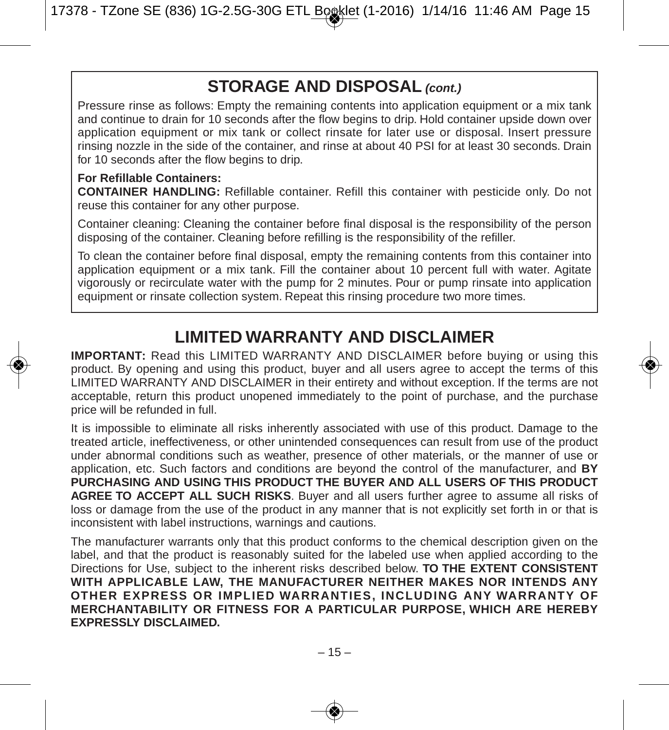## **STORAGE AND DISPOSAL** *(cont.)*

Pressure rinse as follows: Empty the remaining contents into application equipment or a mix tank and continue to drain for 10 seconds after the flow begins to drip. Hold container upside down over application equipment or mix tank or collect rinsate for later use or disposal. Insert pressure rinsing nozzle in the side of the container, and rinse at about 40 PSI for at least 30 seconds. Drain for 10 seconds after the flow begins to drip.

#### **For Refillable Containers:**

**CONTAINER HANDLING:** Refillable container. Refill this container with pesticide only. Do not reuse this container for any other purpose.

Container cleaning: Cleaning the container before final disposal is the responsibility of the person disposing of the container. Cleaning before refilling is the responsibility of the refiller.

To clean the container before final disposal, empty the remaining contents from this container into application equipment or a mix tank. Fill the container about 10 percent full with water. Agitate vigorously or recirculate water with the pump for 2 minutes. Pour or pump rinsate into application equipment or rinsate collection system. Repeat this rinsing procedure two more times.

## **LIMITED WARRANTY AND DISCLAIMER**

**IMPORTANT:** Read this LIMITED WARRANTY AND DISCLAIMER before buying or using this product. By opening and using this product, buyer and all users agree to accept the terms of this LIMITED WARRANTY AND DISCLAIMER in their entirety and without exception. If the terms are not acceptable, return this product unopened immediately to the point of purchase, and the purchase price will be refunded in full.

It is impossible to eliminate all risks inherently associated with use of this product. Damage to the treated article, ineffectiveness, or other unintended consequences can result from use of the product under abnormal conditions such as weather, presence of other materials, or the manner of use or application, etc. Such factors and conditions are beyond the control of the manufacturer, and **BY PURCHASING AND USING THIS PRODUCT THE BUYER AND ALL USERS OF THIS PRODUCT AGREE TO ACCEPT ALL SUCH RISKS**. Buyer and all users further agree to assume all risks of loss or damage from the use of the product in any manner that is not explicitly set forth in or that is inconsistent with label instructions, warnings and cautions.

The manufacturer warrants only that this product conforms to the chemical description given on the label, and that the product is reasonably suited for the labeled use when applied according to the Directions for Use, subject to the inherent risks described below. **TO THE EXTENT CONSISTENT WITH APPLICABLE LAW, THE MANUFACTURER NEITHER MAKES NOR INTENDS ANY OTHER EXPRESS OR IMPLIED WARRANTIES, INCLUDING ANY WARRANTY OF MERCHANTABILITY OR FITNESS FOR A PARTICULAR PURPOSE, WHICH ARE HEREBY EXPRESSLY DISCLAIMED.**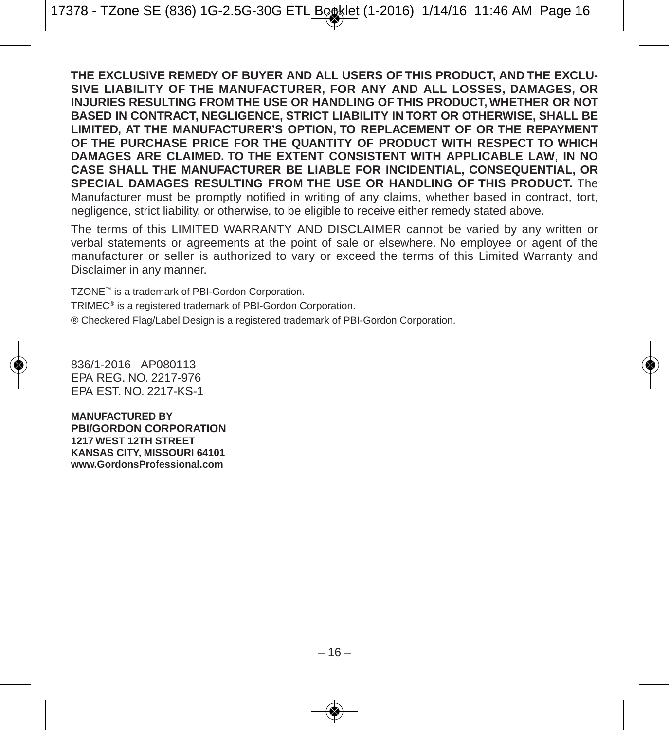**THE EXCLUSIVE REMEDY OF BUYER AND ALL USERS OF THIS PRODUCT, AND THE EXCLU-SIVE LIABILITY OF THE MANUFACTURER, FOR ANY AND ALL LOSSES, DAMAGES, OR INJURIES RESULTING FROM THE USE OR HANDLING OF THIS PRODUCT, WHETHER OR NOT BASED IN CONTRACT, NEGLIGENCE, STRICT LIABILITY IN TORT OR OTHERWISE, SHALL BE LIMITED, AT THE MANUFACTURER'S OPTION, TO REPLACEMENT OF OR THE REPAYMENT OF THE PURCHASE PRICE FOR THE QUANTITY OF PRODUCT WITH RESPECT TO WHICH DAMAGES ARE CLAIMED. TO THE EXTENT CONSISTENT WITH APPLICABLE LAW**, **IN NO CASE SHALL THE MANUFACTURER BE LIABLE FOR INCIDENTIAL, CONSEQUENTIAL, OR SPECIAL DAMAGES RESULTING FROM THE USE OR HANDLING OF THIS PRODUCT.** The Manufacturer must be promptly notified in writing of any claims, whether based in contract, tort, negligence, strict liability, or otherwise, to be eligible to receive either remedy stated above.

The terms of this LIMITED WARRANTY AND DISCLAIMER cannot be varied by any written or verbal statements or agreements at the point of sale or elsewhere. No employee or agent of the manufacturer or seller is authorized to vary or exceed the terms of this Limited Warranty and Disclaimer in any manner.

TZONE™ is a trademark of PBI-Gordon Corporation.

TRIMEC® is a registered trademark of PBI-Gordon Corporation.

® Checkered Flag/Label Design is a registered trademark of PBI-Gordon Corporation.

836/1-2016 AP080113 EPA REG. NO. 2217-976 EPA EST. NO. 2217-KS-1

**MANUFACTURED BY PBI/GORDON CORPORATION 1217 WEST 12TH STREET KANSAS CITY, MISSOURI 64101 www.GordonsProfessional.com**